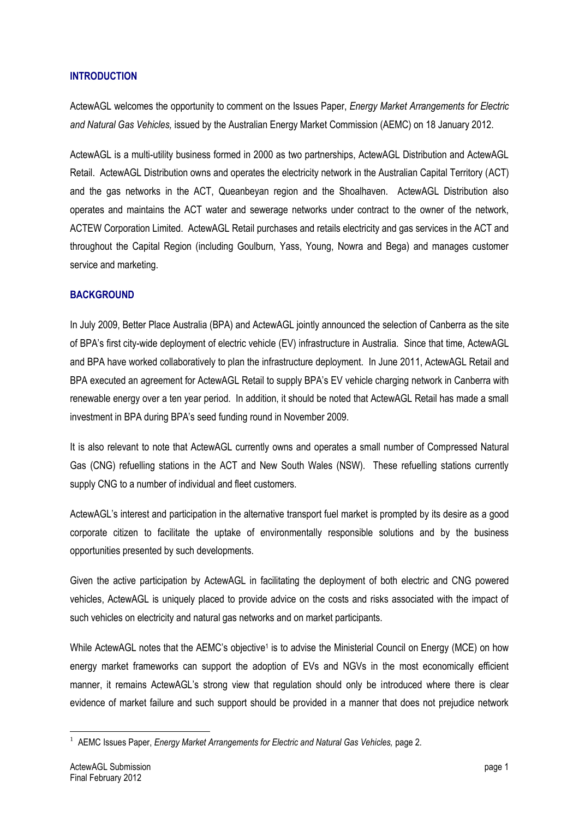## **INTRODUCTION**

ActewAGL welcomes the opportunity to comment on the Issues Paper, *Energy Market Arrangements for Electric and Natural Gas Vehicles,* issued by the Australian Energy Market Commission (AEMC) on 18 January 2012.

ActewAGL is a multi-utility business formed in 2000 as two partnerships, ActewAGL Distribution and ActewAGL Retail. ActewAGL Distribution owns and operates the electricity network in the Australian Capital Territory (ACT) and the gas networks in the ACT, Queanbeyan region and the Shoalhaven. ActewAGL Distribution also operates and maintains the ACT water and sewerage networks under contract to the owner of the network, ACTEW Corporation Limited. ActewAGL Retail purchases and retails electricity and gas services in the ACT and throughout the Capital Region (including Goulburn, Yass, Young, Nowra and Bega) and manages customer service and marketing.

# **BACKGROUND**

In July 2009, Better Place Australia (BPA) and ActewAGL jointly announced the selection of Canberra as the site of BPA's first city-wide deployment of electric vehicle (EV) infrastructure in Australia. Since that time, ActewAGL and BPA have worked collaboratively to plan the infrastructure deployment. In June 2011, ActewAGL Retail and BPA executed an agreement for ActewAGL Retail to supply BPA's EV vehicle charging network in Canberra with renewable energy over a ten year period. In addition, it should be noted that ActewAGL Retail has made a small investment in BPA during BPA's seed funding round in November 2009.

It is also relevant to note that ActewAGL currently owns and operates a small number of Compressed Natural Gas (CNG) refuelling stations in the ACT and New South Wales (NSW). These refuelling stations currently supply CNG to a number of individual and fleet customers.

ActewAGL's interest and participation in the alternative transport fuel market is prompted by its desire as a good corporate citizen to facilitate the uptake of environmentally responsible solutions and by the business opportunities presented by such developments.

Given the active participation by ActewAGL in facilitating the deployment of both electric and CNG powered vehicles, ActewAGL is uniquely placed to provide advice on the costs and risks associated with the impact of such vehicles on electricity and natural gas networks and on market participants.

While ActewAGL notes that the AEMC's objective<sup>1</sup> is to advise the Ministerial Council on Energy (MCE) on how energy market frameworks can support the adoption of EVs and NGVs in the most economically efficient manner, it remains ActewAGL's strong view that regulation should only be introduced where there is clear evidence of market failure and such support should be provided in a manner that does not prejudice network

<sup>1</sup> <sup>1</sup> AEMC Issues Paper, *Energy Market Arrangements for Electric and Natural Gas Vehicles, page 2.*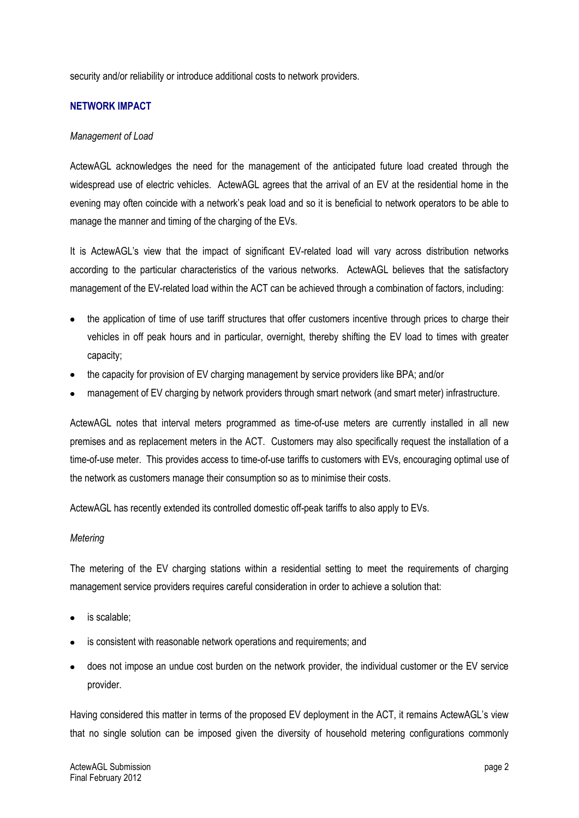security and/or reliability or introduce additional costs to network providers.

### **NETWORK IMPACT**

#### *Management of Load*

ActewAGL acknowledges the need for the management of the anticipated future load created through the widespread use of electric vehicles. ActewAGL agrees that the arrival of an EV at the residential home in the evening may often coincide with a network's peak load and so it is beneficial to network operators to be able to manage the manner and timing of the charging of the EVs.

It is ActewAGL's view that the impact of significant EV-related load will vary across distribution networks according to the particular characteristics of the various networks. ActewAGL believes that the satisfactory management of the EV-related load within the ACT can be achieved through a combination of factors, including:

- the application of time of use tariff structures that offer customers incentive through prices to charge their vehicles in off peak hours and in particular, overnight, thereby shifting the EV load to times with greater capacity;
- the capacity for provision of EV charging management by service providers like BPA; and/or
- management of EV charging by network providers through smart network (and smart meter) infrastructure.

ActewAGL notes that interval meters programmed as time-of-use meters are currently installed in all new premises and as replacement meters in the ACT. Customers may also specifically request the installation of a time-of-use meter. This provides access to time-of-use tariffs to customers with EVs, encouraging optimal use of the network as customers manage their consumption so as to minimise their costs.

ActewAGL has recently extended its controlled domestic off-peak tariffs to also apply to EVs.

### *Metering*

The metering of the EV charging stations within a residential setting to meet the requirements of charging management service providers requires careful consideration in order to achieve a solution that:

- is scalable;
- is consistent with reasonable network operations and requirements; and
- does not impose an undue cost burden on the network provider, the individual customer or the EV service provider.

Having considered this matter in terms of the proposed EV deployment in the ACT, it remains ActewAGL's view that no single solution can be imposed given the diversity of household metering configurations commonly